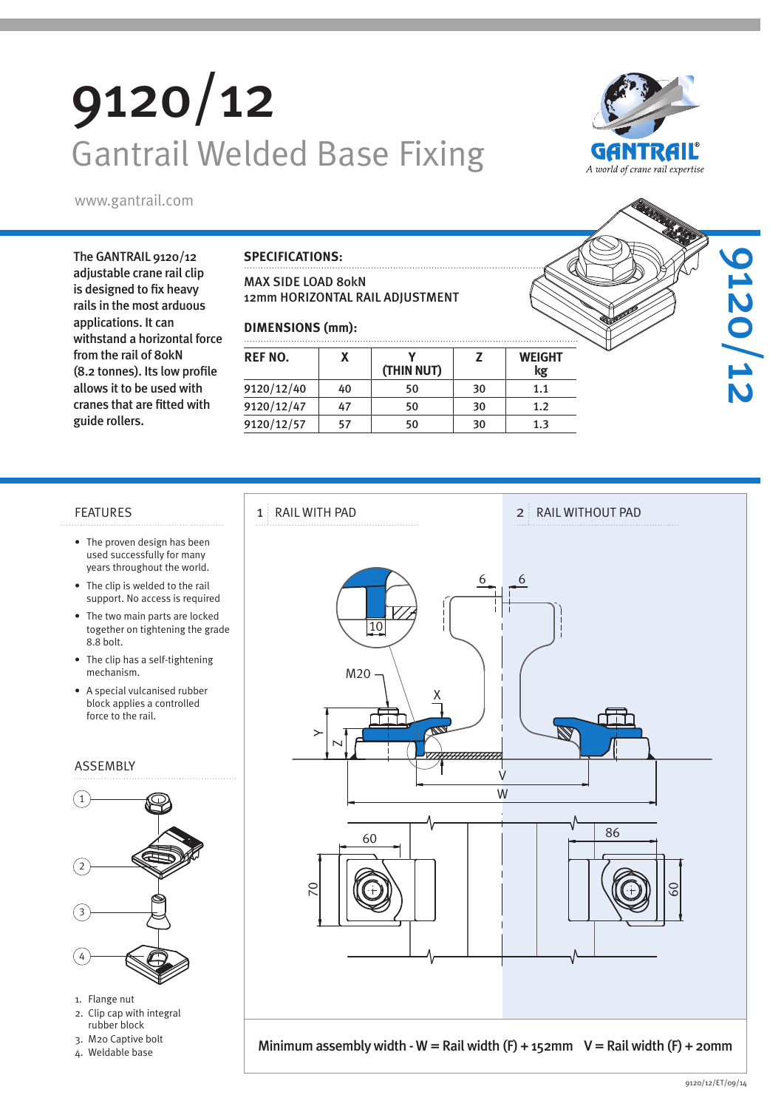# 9120/12 Gantrail Welded Base Fixing



A world of crane rail expertise

9120/12

The GANTRAIL 9120/12 adjustable crane rail clip is designed to fix heavy rails in the most arduous applications. It can withstand a horizontal force from the rail of 80kN (8.2 tonnes). Its low profile allows it to be used with cranes that are fitted with guide rollers.

### **SPECIFICATIONS:**

### MAX SIDE LOAD 80kN 12mm HORIZONTAL RAIL ADJUSTMENT

### **DIMENSIONS (mm):**

| REF NO.    |    | (THIN NUT) |    | <b>WEIGHT</b><br>kg |  |
|------------|----|------------|----|---------------------|--|
| 9120/12/40 | 40 | 50         | 30 | 1.1                 |  |
| 9120/12/47 |    | 50         | 30 | 1.2                 |  |
| 9120/12/57 |    | 50         | 30 | 1.3                 |  |

- The proven design has been used successfully for many years throughout the world.
- The clip is welded to the rail support. No access is required
- The two main parts are locked together on tightening the grade 8.8 bolt.
- The clip has a self-tightening mechanism.
- A special vulcanised rubber block applies a controlled force to the rail.

### ASSEMBLY



- 1. Flange nut
- 2. Clip cap with integral rubber block
- 3. M20 Captive bolt
- 4. Weldable base